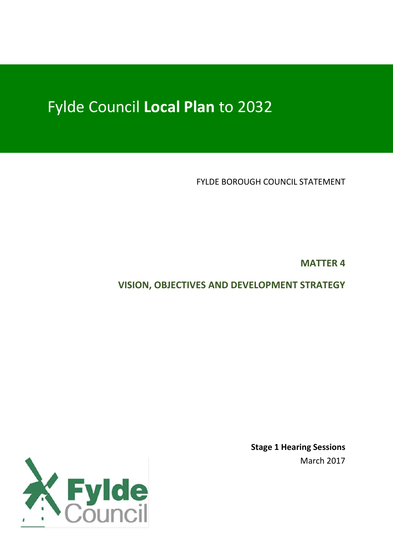# Fylde Council **Local Plan** to 2032

FYLDE BOROUGH COUNCIL STATEMENT

**MATTER 4**

**VISION, OBJECTIVES AND DEVELOPMENT STRATEGY**



**Stage 1 Hearing Sessions** March 2017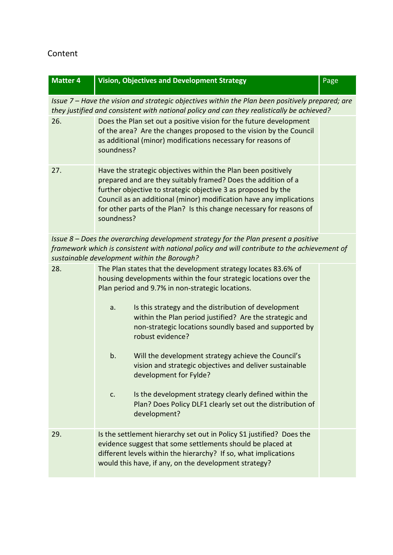## Content

| <b>Matter 4</b>                                                                                                                                                                                                                    | <b>Vision, Objectives and Development Strategy</b>                                                                                                                                                                                                                                                                                                           | Page |  |  |
|------------------------------------------------------------------------------------------------------------------------------------------------------------------------------------------------------------------------------------|--------------------------------------------------------------------------------------------------------------------------------------------------------------------------------------------------------------------------------------------------------------------------------------------------------------------------------------------------------------|------|--|--|
| Issue 7 - Have the vision and strategic objectives within the Plan been positively prepared; are<br>they justified and consistent with national policy and can they realistically be achieved?                                     |                                                                                                                                                                                                                                                                                                                                                              |      |  |  |
| 26.                                                                                                                                                                                                                                | Does the Plan set out a positive vision for the future development<br>of the area? Are the changes proposed to the vision by the Council<br>as additional (minor) modifications necessary for reasons of<br>soundness?                                                                                                                                       |      |  |  |
| 27.                                                                                                                                                                                                                                | Have the strategic objectives within the Plan been positively<br>prepared and are they suitably framed? Does the addition of a<br>further objective to strategic objective 3 as proposed by the<br>Council as an additional (minor) modification have any implications<br>for other parts of the Plan? Is this change necessary for reasons of<br>soundness? |      |  |  |
| Issue 8 – Does the overarching development strategy for the Plan present a positive<br>framework which is consistent with national policy and will contribute to the achievement of<br>sustainable development within the Borough? |                                                                                                                                                                                                                                                                                                                                                              |      |  |  |
| 28.                                                                                                                                                                                                                                | The Plan states that the development strategy locates 83.6% of<br>housing developments within the four strategic locations over the<br>Plan period and 9.7% in non-strategic locations.                                                                                                                                                                      |      |  |  |
|                                                                                                                                                                                                                                    | Is this strategy and the distribution of development<br>a.<br>within the Plan period justified? Are the strategic and<br>non-strategic locations soundly based and supported by<br>robust evidence?                                                                                                                                                          |      |  |  |
|                                                                                                                                                                                                                                    | b.<br>Will the development strategy achieve the Council's<br>vision and strategic objectives and deliver sustainable<br>development for Fylde?                                                                                                                                                                                                               |      |  |  |
|                                                                                                                                                                                                                                    | Is the development strategy clearly defined within the<br>c.<br>Plan? Does Policy DLF1 clearly set out the distribution of<br>development?                                                                                                                                                                                                                   |      |  |  |
| 29.                                                                                                                                                                                                                                | Is the settlement hierarchy set out in Policy S1 justified? Does the<br>evidence suggest that some settlements should be placed at<br>different levels within the hierarchy? If so, what implications<br>would this have, if any, on the development strategy?                                                                                               |      |  |  |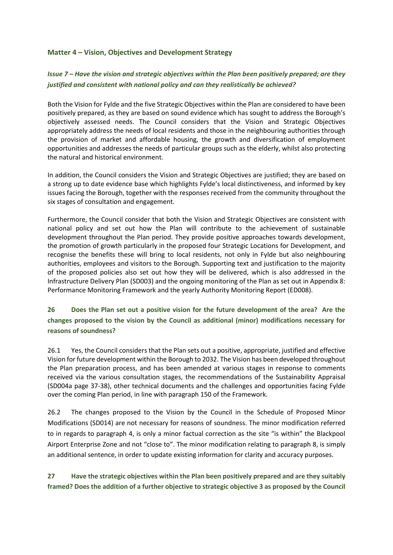#### **Matter 4 – Vision, Objectives and Development Strategy**

#### *Issue 7 – Have the vision and strategic objectives within the Plan been positively prepared; are they justified and consistent with national policy and can they realistically be achieved?*

Both the Vision for Fylde and the five Strategic Objectives within the Plan are considered to have been positively prepared, as they are based on sound evidence which has sought to address the Borough's objectively assessed needs. The Council considers that the Vision and Strategic Objectives appropriately address the needs of local residents and those in the neighbouring authorities through the provision of market and affordable housing, the growth and diversification of employment opportunities and addresses the needs of particular groups such as the elderly, whilst also protecting the natural and historical environment.

In addition, the Council considers the Vision and Strategic Objectives are justified; they are based on a strong up to date evidence base which highlights Fylde's local distinctiveness, and informed by key issues facing the Borough, together with the responses received from the community throughout the six stages of consultation and engagement.

Furthermore, the Council consider that both the Vision and Strategic Objectives are consistent with national policy and set out how the Plan will contribute to the achievement of sustainable development throughout the Plan period. They provide positive approaches towards development, the promotion of growth particularly in the proposed four Strategic Locations for Development, and recognise the benefits these will bring to local residents, not only in Fylde but also neighbouring authorities, employees and visitors to the Borough. Supporting text and justification to the majority of the proposed policies also set out how they will be delivered, which is also addressed in the Infrastructure Delivery Plan (SD003) and the ongoing monitoring of the Plan as set out in Appendix 8: Performance Monitoring Framework and the yearly Authority Monitoring Report (ED008).

#### **26 Does the Plan set out a positive vision for the future development of the area? Are the changes proposed to the vision by the Council as additional (minor) modifications necessary for reasons of soundness?**

26.1 Yes, the Council considers that the Plan sets out a positive, appropriate, justified and effective Vision for future development within the Borough to 2032. The Vision has been developed throughout the Plan preparation process, and has been amended at various stages in response to comments received via the various consultation stages, the recommendations of the Sustainability Appraisal (SD004a page 37-38), other technical documents and the challenges and opportunities facing Fylde over the coming Plan period, in line with paragraph 150 of the Framework.

26.2 The changes proposed to the Vision by the Council in the Schedule of Proposed Minor Modifications (SD014) are not necessary for reasons of soundness. The minor modification referred to in regards to paragraph 4, is only a minor factual correction as the site "is within" the Blackpool Airport Enterprise Zone and not "close to". The minor modification relating to paragraph 8, is simply an additional sentence, in order to update existing information for clarity and accuracy purposes.

**27 Have the strategic objectives within the Plan been positively prepared and are they suitably framed? Does the addition of a further objective to strategic objective 3 as proposed by the Council**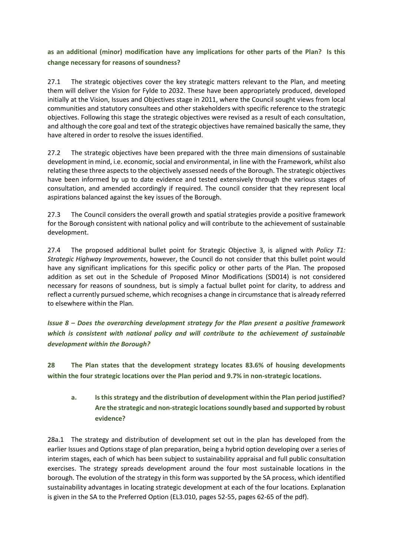#### **as an additional (minor) modification have any implications for other parts of the Plan? Is this change necessary for reasons of soundness?**

27.1 The strategic objectives cover the key strategic matters relevant to the Plan, and meeting them will deliver the Vision for Fylde to 2032. These have been appropriately produced, developed initially at the Vision, Issues and Objectives stage in 2011, where the Council sought views from local communities and statutory consultees and other stakeholders with specific reference to the strategic objectives. Following this stage the strategic objectives were revised as a result of each consultation, and although the core goal and text of the strategic objectives have remained basically the same, they have altered in order to resolve the issues identified.

27.2 The strategic objectives have been prepared with the three main dimensions of sustainable development in mind, i.e. economic, social and environmental, in line with the Framework, whilst also relating these three aspects to the objectively assessed needs of the Borough. The strategic objectives have been informed by up to date evidence and tested extensively through the various stages of consultation, and amended accordingly if required. The council consider that they represent local aspirations balanced against the key issues of the Borough.

27.3 The Council considers the overall growth and spatial strategies provide a positive framework for the Borough consistent with national policy and will contribute to the achievement of sustainable development.

27.4 The proposed additional bullet point for Strategic Objective 3, is aligned with *Policy T1: Strategic Highway Improvements*, however, the Council do not consider that this bullet point would have any significant implications for this specific policy or other parts of the Plan. The proposed addition as set out in the Schedule of Proposed Minor Modifications (SD014) is not considered necessary for reasons of soundness, but is simply a factual bullet point for clarity, to address and reflect a currently pursued scheme, which recognises a change in circumstance that is already referred to elsewhere within the Plan.

*Issue 8 – Does the overarching development strategy for the Plan present a positive framework which is consistent with national policy and will contribute to the achievement of sustainable development within the Borough?*

**28 The Plan states that the development strategy locates 83.6% of housing developments within the four strategic locations over the Plan period and 9.7% in non-strategic locations.** 

**a. Is this strategy and the distribution of development within the Plan period justified? Are the strategic and non-strategic locations soundly based and supported by robust evidence?**

28a.1 The strategy and distribution of development set out in the plan has developed from the earlier Issues and Options stage of plan preparation, being a hybrid option developing over a series of interim stages, each of which has been subject to sustainability appraisal and full public consultation exercises. The strategy spreads development around the four most sustainable locations in the borough. The evolution of the strategy in this form was supported by the SA process, which identified sustainability advantages in locating strategic development at each of the four locations. Explanation is given in the SA to the Preferred Option (EL3.010, pages 52-55, pages 62-65 of the pdf).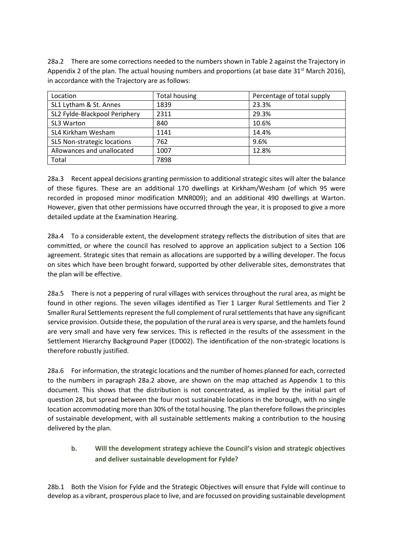28a.2 There are some corrections needed to the numbers shown in Table 2 against the Trajectory in Appendix 2 of the plan. The actual housing numbers and proportions (at base date  $31<sup>st</sup>$  March 2016), in accordance with the Trajectory are as follows:

| Location                      | <b>Total housing</b> | Percentage of total supply |  |
|-------------------------------|----------------------|----------------------------|--|
| SL1 Lytham & St. Annes        | 1839                 | 23.3%                      |  |
| SL2 Fylde-Blackpool Periphery | 2311                 | 29.3%                      |  |
| SL3 Warton                    | 840                  | 10.6%                      |  |
| SL4 Kirkham Wesham            | 1141                 | 14.4%                      |  |
| SL5 Non-strategic locations   | 762                  | 9.6%                       |  |
| Allowances and unallocated    | 1007                 | 12.8%                      |  |
| Total                         | 7898                 |                            |  |

28a.3 Recent appeal decisions granting permission to additional strategic sites will alter the balance of these figures. These are an additional 170 dwellings at Kirkham/Wesham (of which 95 were recorded in proposed minor modification MNR009); and an additional 490 dwellings at Warton. However, given that other permissions have occurred through the year, it is proposed to give a more detailed update at the Examination Hearing.

28a.4 To a considerable extent, the development strategy reflects the distribution of sites that are committed, or where the council has resolved to approve an application subject to a Section 106 agreement. Strategic sites that remain as allocations are supported by a willing developer. The focus on sites which have been brought forward, supported by other deliverable sites, demonstrates that the plan will be effective.

28a.5 There is not a peppering of rural villages with services throughout the rural area, as might be found in other regions. The seven villages identified as Tier 1 Larger Rural Settlements and Tier 2 Smaller Rural Settlements represent the full complement of rural settlements that have any significant service provision. Outside these, the population of the rural area is very sparse, and the hamlets found are very small and have very few services. This is reflected in the results of the assessment in the Settlement Hierarchy Background Paper (ED002). The identification of the non-strategic locations is therefore robustly justified.

28a.6 For information, the strategic locations and the number of homes planned for each, corrected to the numbers in paragraph 28a.2 above, are shown on the map attached as Appendix 1 to this document. This shows that the distribution is not concentrated, as implied by the initial part of question 28, but spread between the four most sustainable locations in the borough, with no single location accommodating more than 30% of the total housing. The plan therefore follows the principles of sustainable development, with all sustainable settlements making a contribution to the housing delivered by the plan.

#### **b. Will the development strategy achieve the Council's vision and strategic objectives and deliver sustainable development for Fylde?**

28b.1 Both the Vision for Fylde and the Strategic Objectives will ensure that Fylde will continue to develop as a vibrant, prosperous place to live, and are focussed on providing sustainable development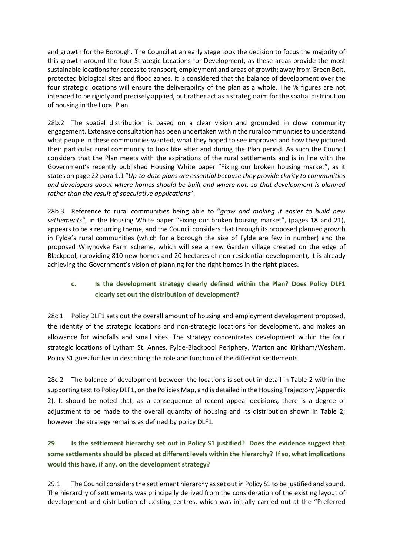and growth for the Borough. The Council at an early stage took the decision to focus the majority of this growth around the four Strategic Locations for Development, as these areas provide the most sustainable locations for access to transport, employment and areas of growth; away from Green Belt, protected biological sites and flood zones. It is considered that the balance of development over the four strategic locations will ensure the deliverability of the plan as a whole. The % figures are not intended to be rigidly and precisely applied, but rather act as a strategic aim for the spatial distribution of housing in the Local Plan.

28b.2 The spatial distribution is based on a clear vision and grounded in close community engagement. Extensive consultation has been undertaken within the rural communities to understand what people in these communities wanted, what they hoped to see improved and how they pictured their particular rural community to look like after and during the Plan period. As such the Council considers that the Plan meets with the aspirations of the rural settlements and is in line with the Government's recently published Housing White paper "Fixing our broken housing market", as it states on page 22 para 1.1 "*Up-to-date plans are essential because they provide clarity to communities and developers about where homes should be built and where not, so that development is planned rather than the result of speculative applications*".

28b.3 Reference to rural communities being able to "*grow and making it easier to build new settlements"*, in the Housing White paper "Fixing our broken housing market", (pages 18 and 21), appears to be a recurring theme, and the Council considers that through its proposed planned growth in Fylde's rural communities (which for a borough the size of Fylde are few in number) and the proposed Whyndyke Farm scheme, which will see a new Garden village created on the edge of Blackpool, (providing 810 new homes and 20 hectares of non-residential development), it is already achieving the Government's vision of planning for the right homes in the right places.

### **c. Is the development strategy clearly defined within the Plan? Does Policy DLF1 clearly set out the distribution of development?**

28c.1 Policy DLF1 sets out the overall amount of housing and employment development proposed, the identity of the strategic locations and non-strategic locations for development, and makes an allowance for windfalls and small sites. The strategy concentrates development within the four strategic locations of Lytham St. Annes, Fylde-Blackpool Periphery, Warton and Kirkham/Wesham. Policy S1 goes further in describing the role and function of the different settlements.

28c.2 The balance of development between the locations is set out in detail in Table 2 within the supporting text to Policy DLF1, on the Policies Map, and is detailed in the Housing Trajectory (Appendix 2). It should be noted that, as a consequence of recent appeal decisions, there is a degree of adjustment to be made to the overall quantity of housing and its distribution shown in Table 2; however the strategy remains as defined by policy DLF1.

## **29 Is the settlement hierarchy set out in Policy S1 justified? Does the evidence suggest that some settlements should be placed at different levels within the hierarchy? If so, what implications would this have, if any, on the development strategy?**

29.1 The Council considers the settlement hierarchy as set out in Policy S1 to be justified and sound. The hierarchy of settlements was principally derived from the consideration of the existing layout of development and distribution of existing centres, which was initially carried out at the "Preferred